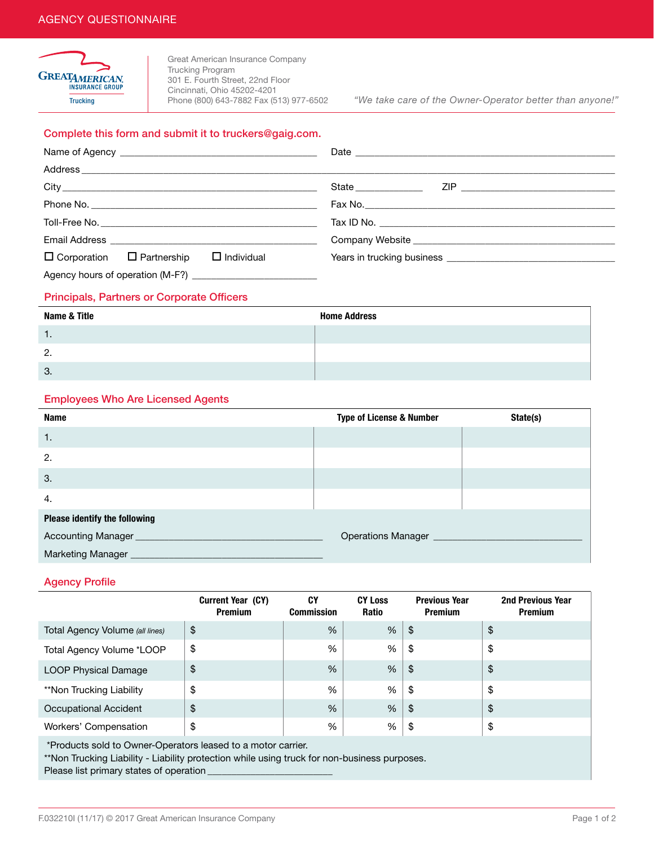

Great American Insurance Company Trucking Program 301 E. Fourth Street, 22nd Floor Cincinnati, Ohio 45202-4201<br>Phone (800) 643-7882 Fax (513) 977-6502

Trucking Phone (800) 643-7882 Fax (513) 977-6502 *"We take care of the Owner-Operator better than anyone!"*

#### Complete this form and submit it to [truckers@gaig.com.](mailto:truckers@gaig.com)

|                                                            | State ______________ |  |  |
|------------------------------------------------------------|----------------------|--|--|
|                                                            |                      |  |  |
|                                                            |                      |  |  |
|                                                            |                      |  |  |
| $\Box$ Corporation $\Box$ Partnership<br>$\Box$ Individual |                      |  |  |
|                                                            |                      |  |  |

#### Principals, Partners or Corporate Officers

| Name & Title | <b>Home Address</b> |
|--------------|---------------------|
| . .          |                     |
| 2.           |                     |
| 3.           |                     |

## Employees Who Are Licensed Agents

| Name                          | <b>Type of License &amp; Number</b> | State(s) |
|-------------------------------|-------------------------------------|----------|
| 1.                            |                                     |          |
| 2.                            |                                     |          |
| 3.                            |                                     |          |
| 4.                            |                                     |          |
| Please identify the following |                                     |          |
|                               |                                     |          |
|                               |                                     |          |

### Agency Profile

|                                 | <b>Current Year (CY)</b><br><b>Premium</b> | CY<br><b>Commission</b> | <b>CY Loss</b><br><b>Ratio</b> | <b>Previous Year</b><br><b>Premium</b> | <b>2nd Previous Year</b><br><b>Premium</b> |
|---------------------------------|--------------------------------------------|-------------------------|--------------------------------|----------------------------------------|--------------------------------------------|
| Total Agency Volume (all lines) | \$                                         | %                       | %                              | \$                                     | \$                                         |
| Total Agency Volume *LOOP       | \$                                         | %                       | %                              | \$                                     | \$                                         |
| <b>LOOP Physical Damage</b>     | \$                                         | %                       | %                              | \$                                     | \$                                         |
| **Non Trucking Liability        | \$                                         | $\%$                    | %                              | \$                                     | \$                                         |
| Occupational Accident           | \$                                         | $\%$                    | %                              | \$                                     | \$                                         |
| Workers' Compensation           | \$                                         | %                       | %                              | \$                                     | \$                                         |
|                                 |                                            |                         |                                |                                        |                                            |

Products sold to Owner-Operators leased to a motor carrier.

\*\*Non Trucking Liability - Liability protection while using truck for non-business purposes.

Please list primary states of operation